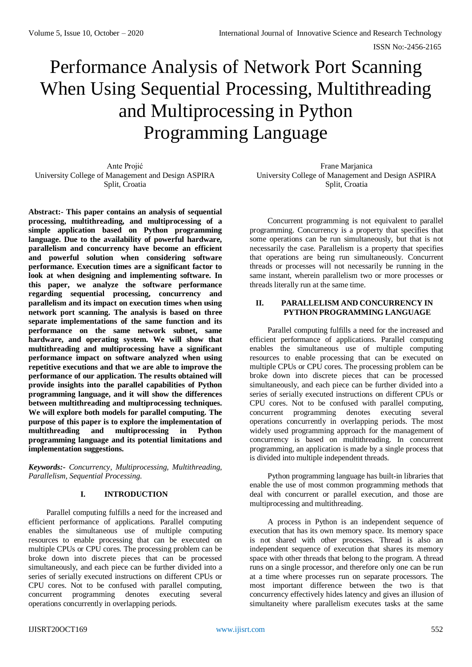# Performance Analysis of Network Port Scanning When Using Sequential Processing, Multithreading and Multiprocessing in Python Programming Language

Ante Projić University College of Management and Design ASPIRA Split, Croatia

**Abstract:- This paper contains an analysis of sequential processing, multithreading, and multiprocessing of a simple application based on Python programming language. Due to the availability of powerful hardware, parallelism and concurrency have become an efficient and powerful solution when considering software performance. Execution times are a significant factor to look at when designing and implementing software. In this paper, we analyze the software performance regarding sequential processing, concurrency and parallelism and its impact on execution times when using network port scanning. The analysis is based on three separate implementations of the same function and its performance on the same network subnet, same hardware, and operating system. We will show that multithreading and multiprocessing have a significant performance impact on software analyzed when using repetitive executions and that we are able to improve the performance of our application. The results obtained will provide insights into the parallel capabilities of Python programming language, and it will show the differences between multithreading and multiprocessing techniques. We will explore both models for parallel computing. The purpose of this paper is to explore the implementation of multithreading and multiprocessing in Python programming language and its potential limitations and implementation suggestions.**

*Keywords:- Concurrency, Multiprocessing, Multithreading, Parallelism, Sequential Processing.*

## **I. INTRODUCTION**

Parallel computing fulfills a need for the increased and efficient performance of applications. Parallel computing enables the simultaneous use of multiple computing resources to enable processing that can be executed on multiple CPUs or CPU cores. The processing problem can be broke down into discrete pieces that can be processed simultaneously, and each piece can be further divided into a series of serially executed instructions on different CPUs or CPU cores. Not to be confused with parallel computing, concurrent programming denotes executing several operations concurrently in overlapping periods.

Frane Marjanica University College of Management and Design ASPIRA Split, Croatia

Concurrent programming is not equivalent to parallel programming. Concurrency is a property that specifies that some operations can be run simultaneously, but that is not necessarily the case. Parallelism is a property that specifies that operations are being run simultaneously. Concurrent threads or processes will not necessarily be running in the same instant, wherein parallelism two or more processes or threads literally run at the same time.

## **II. PARALLELISM AND CONCURRENCY IN PYTHON PROGRAMMING LANGUAGE**

Parallel computing fulfills a need for the increased and efficient performance of applications. Parallel computing enables the simultaneous use of multiple computing resources to enable processing that can be executed on multiple CPUs or CPU cores. The processing problem can be broke down into discrete pieces that can be processed simultaneously, and each piece can be further divided into a series of serially executed instructions on different CPUs or CPU cores. Not to be confused with parallel computing, concurrent programming denotes executing several operations concurrently in overlapping periods. The most widely used programming approach for the management of concurrency is based on multithreading. In concurrent programming, an application is made by a single process that is divided into multiple independent threads.

Python programming language has built-in libraries that enable the use of most common programming methods that deal with concurrent or parallel execution, and those are multiprocessing and multithreading.

A process in Python is an independent sequence of execution that has its own memory space. Its memory space is not shared with other processes. Thread is also an independent sequence of execution that shares its memory space with other threads that belong to the program. A thread runs on a single processor, and therefore only one can be run at a time where processes run on separate processors. The most important difference between the two is that concurrency effectively hides latency and gives an illusion of simultaneity where parallelism executes tasks at the same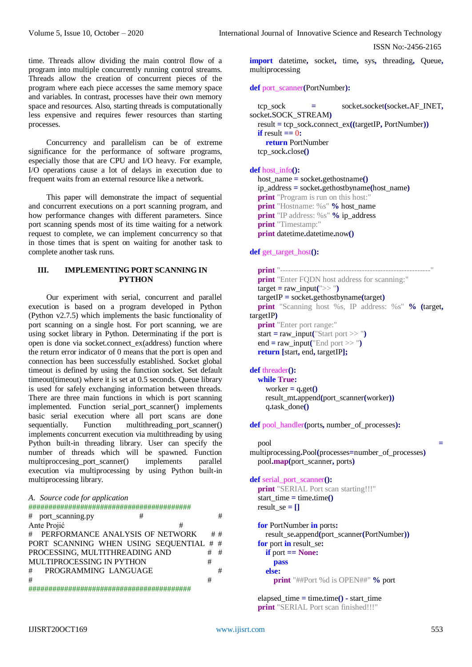ISSN No:-2456-2165

time. Threads allow dividing the main control flow of a program into multiple concurrently running control streams. Threads allow the creation of concurrent pieces of the program where each piece accesses the same memory space and variables. In contrast, processes have their own memory space and resources. Also, starting threads is computationally less expensive and requires fewer resources than starting processes.

Concurrency and parallelism can be of extreme significance for the performance of software programs, especially those that are CPU and I/O heavy. For example, I/O operations cause a lot of delays in execution due to frequent waits from an external resource like a network.

This paper will demonstrate the impact of sequential and concurrent executions on a port scanning program, and how performance changes with different parameters. Since port scanning spends most of its time waiting for a network request to complete, we can implement concurrency so that in those times that is spent on waiting for another task to complete another task runs.

## **III. IMPLEMENTING PORT SCANNING IN PYTHON**

Our experiment with serial, concurrent and parallel execution is based on a program developed in Python (Python v2.7.5) which implements the basic functionality of port scanning on a single host. For port scanning, we are using socket library in Python. Determinating if the port is open is done via socket.connect\_ex(address) function where the return error indicator of 0 means that the port is open and connection has been successfully established. Socket global timeout is defined by using the function socket. Set default timeout(timeout) where it is set at 0.5 seconds. Queue library is used for safely exchanging information between threads. There are three main functions in which is port scanning implemented. Function serial\_port\_scanner() implements basic serial execution where all port scans are done sequentially. Function multithreading\_port\_scanner() implements concurrent execution via multithreading by using Python built-in threading library. User can specify the number of threads which will be spawned. Function multiproccesing\_port\_scanner() implements parallel execution via multiprocessing by using Python built-in multiprocessing library.

```
A. Source code for application
```
#########################################

|                  | # port_scanning.py                      | # |  |   | #  |
|------------------|-----------------------------------------|---|--|---|----|
| Ante Projić<br># |                                         |   |  |   |    |
|                  | # PERFORMANCE ANALYSIS OF NETWORK       |   |  |   | ## |
|                  | PORT SCANNING WHEN USING SEQUENTIAL # # |   |  |   |    |
|                  | PROCESSING, MULTITHREADING AND          |   |  |   | #  |
|                  | MULTIPROCESSING IN PYTHON               |   |  | # |    |
| #                | PROGRAMMING LANGUAGE                    |   |  |   | #  |
| #                |                                         |   |  | # |    |
|                  |                                         |   |  |   |    |

#########################################

**import** datetime**,** socket**,** time**,** sys**,** threading**,** Queue**,** multiprocessing

**def** port\_scanner**(**PortNumber**):**

```
 tcp_sock = socket.socket(socket.AF_INET,
socket.SOCK_STREAM)
   result = tcp_sock.connect_ex((targetIP, PortNumber))
  \textbf{if} result \textbf{=} 0:
     return PortNumber
   tcp_sock.close()
```
**def** host\_info**():**

 host\_name **=** socket**.**gethostname**()** ip\_address **=** socket**.**gethostbyname**(**host\_name**) print** "Program is run on this host:" **print** "Hostname: %s" % host name **print** "IP address: %s" % ip\_address **print** "Timestamp:" **print** datetime**.**datetime**.**now**()**

### **def** get\_target\_host**():**

 **print** "---------------------------------------------------------" **print** "Enter FQDN host address for scanning:" target **=** raw\_input**(**">> "**)** targetIP **=** socket**.**gethostbyname**(**target**) print** "Scanning host %s, IP address: %s" **% (**target**,** targetIP**) print** "Enter port range:" start = raw input("Start port >> ") end = raw input("End port  $>>$ ") **return [**start**,** end**,** targetIP**];**

### **def** threader**():**

```
 while True:
  worker = q.get() result_mt.append(port_scanner(worker))
   q.task_done()
```
**def** pool\_handler**(**ports**,** number\_of\_processes**):**

```
 pool =
```
multiprocessing**.**Pool**(**processes**=**number\_of\_processes**)** pool**.map(**port\_scanner**,** ports**)**

#### **def** serial\_port\_scanner**():**

```
 print "SERIAL Port scan starting!!!"
start time = time.time()result se = \Pi
```
 **for** PortNumber **in** ports**:** result\_se**.**append**(**port\_scanner**(**PortNumber**)) for** port **in** result\_se**: if** port **== None: pass else: print** "##Port %d is OPEN##" **%** port

 elapsed\_time **=** time**.**time**() -** start\_time **print** "SERIAL Port scan finished!!!"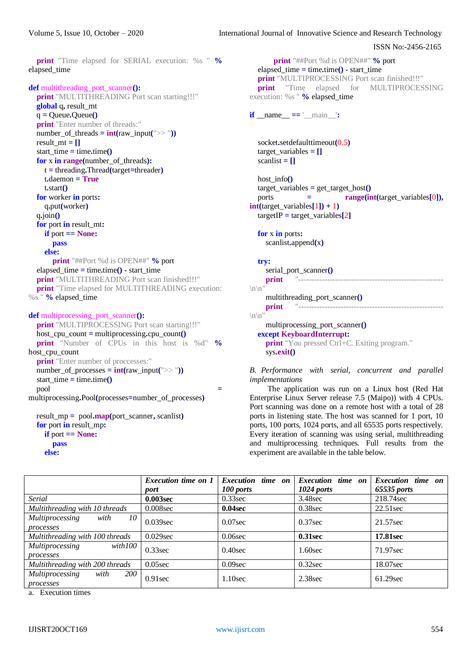ISSN No:-2456-2165

 **print** "Time elapsed for SERIAL execution: %s " **%** elapsed\_time

```
def multithreading_port_scanner():
```

```
 print "MULTITHREADING Port scan starting!!!"
   global q, result_mt
   q = Queue.Queue()
   print "Enter number of threads:"
  number of threads = int(raw input(">> "))
  result mt = \Pistart time = time.time() for x in range(number_of_threads):
     t = threading.Thread(target=threader)
     t.daemon = True
     t.start()
   for worker in ports:
     q.put(worker)
   q.join()
   for port in result_mt:
     if port == None:
        pass
     else:
        print "##Port %d is OPEN##" % port
   elapsed_time = time.time() - start_time
   print "MULTITHREADING Port scan finished!!!"
   print "Time elapsed for MULTITHREADING execution: 
%s " % elapsed_time
```

```
def multiprocessing_port_scanner():
   print "MULTIPROCESSING Port scan starting!!!"
```

```
 host_cpu_count = multiprocessing.cpu_count()
   print "Number of CPUs in this host is %d" %
host_cpu_count
   print "Enter number of proccesses:"
  number_of\_processes = int(raw_input(">>"))start time = time.time() pool =
multiprocessing.Pool(processes=number_of_processes)
```

```
 result_mp = pool.map(port_scanner, scanlist)
 for port in result_mp:
   if port == None:
      pass
   else:
```

```
 print "##Port %d is OPEN##" % port
   elapsed_time = time.time() - start_time 
   print "MULTIPROCESSING Port scan finished!!!"
   print "Time elapsed for MULTIPROCESSING 
execution: %s " % elapsed_time
if __name__ == ' __main____':
   socket.setdefaulttimeout(0.5)
   target_variables = []
```

```
\text{scanlist} = \Pihost info()
   target_variables = get_target_host()
   ports = range(int(target_variables[0]),
int(target \ variable s[1]) + 1) targetIP = target_variables[2]
```

```
 for x in ports:
   scanlist.append(x)
```

```
 try:
```

```
 serial_port_scanner()
 print "-------------------------------------------------------
\ln
```

```
 multithreading_port_scanner()
 print "-------------------------------------------------------
```

```
\ln"
```

```
 multiprocessing_port_scanner()
 except KeyboardInterrupt:
  print "You pressed Ctrl+C. Exiting program."
   sys.exit()
```
*B. Performance with serial, concurrent and parallel implementations*

The application was run on a Linux host (Red Hat Enterprise Linux Server release 7.5 (Maipo)) with 4 CPUs. Port scanning was done on a remote host with a total of 28 ports in listening state. The host was scanned for 1 port, 10 ports, 100 ports, 1024 ports, and all 65535 ports respectively. Every iteration of scanning was using serial, multithreading and multiprocessing techniques. Full results from the experiment are available in the table below.

|                                                   | Execution time on 1 |                          |                          |                   |  |
|---------------------------------------------------|---------------------|--------------------------|--------------------------|-------------------|--|
|                                                   |                     | <b>Execution</b> time on | <b>Execution</b> time on | Execution time on |  |
|                                                   | port                | 100 ports                | 1024 ports               | 65535 ports       |  |
| Serial                                            | 0.003sec            | $0.33$ sec               | 3.48sec                  | 218.74 sec        |  |
| Multithreading with 10 threads                    | $0.008$ sec         | $0.04$ sec               | $0.38$ sec               | $22.51$ sec       |  |
| <i>Multiprocessing</i><br>with<br>10 <sup>1</sup> | $0.039$ sec         | $0.07$ sec               | $0.37$ sec               | 21.57 sec         |  |
| processes                                         |                     |                          |                          |                   |  |
| Multithreading with 100 threads                   | $0.029$ sec         | $0.06$ sec               | 0.31sec                  | 17.81sec          |  |
| Multiprocessing<br>with 100                       | $0.33$ sec          | $0.40$ sec               | $1.60$ sec               | 71.97sec          |  |
| processes                                         |                     |                          |                          |                   |  |
| Multithreading with 200 threads                   | $0.05$ sec          | $0.09$ sec               | $0.32$ sec               | 18.07sec          |  |
| <i>200</i><br><i>Multiprocessing</i><br>with      | $0.91$ sec          | $1.10$ sec               | $2.38$ sec               | 61.29 sec         |  |
| processes                                         |                     |                          |                          |                   |  |

a. Execution times